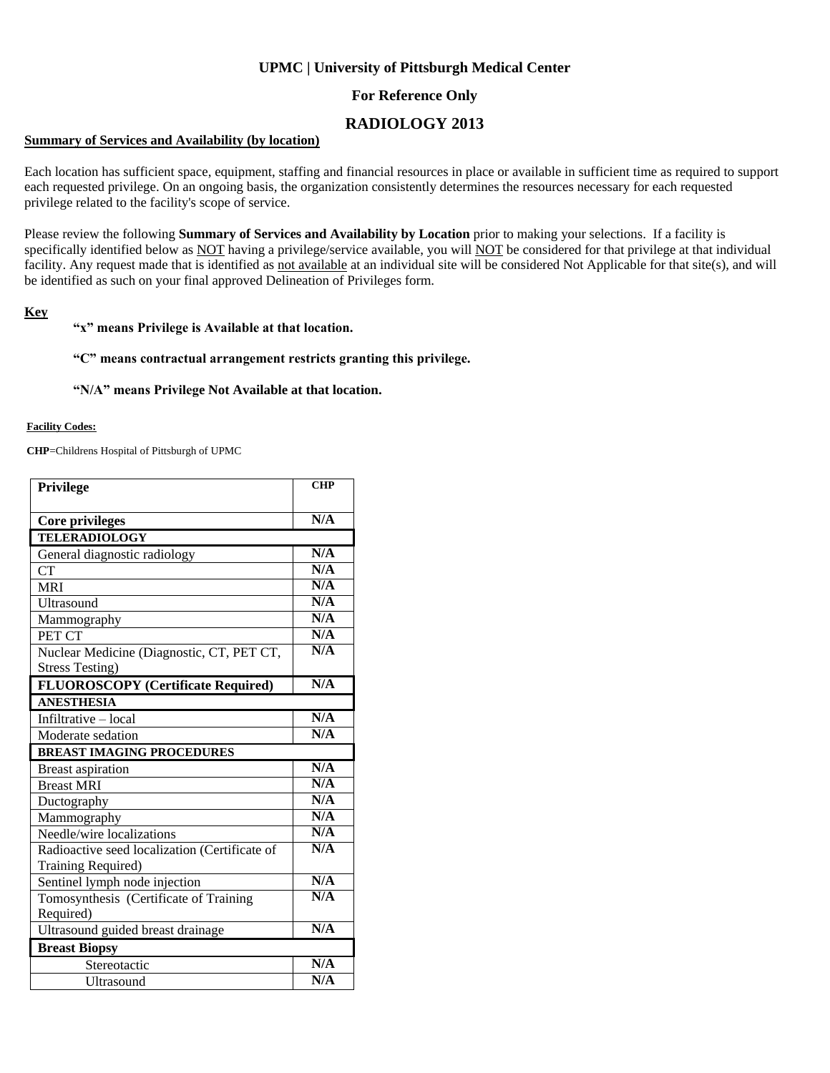## **UPMC | University of Pittsburgh Medical Center**

## **For Reference Only**

# **RADIOLOGY 2013**

#### **Summary of Services and Availability (by location)**

Each location has sufficient space, equipment, staffing and financial resources in place or available in sufficient time as required to support each requested privilege. On an ongoing basis, the organization consistently determines the resources necessary for each requested privilege related to the facility's scope of service.

Please review the following **Summary of Services and Availability by Location** prior to making your selections. If a facility is specifically identified below as NOT having a privilege/service available, you will NOT be considered for that privilege at that individual facility. Any request made that is identified as not available at an individual site will be considered Not Applicable for that site(s), and will be identified as such on your final approved Delineation of Privileges form.

#### **Key**

#### **"x" means Privilege is Available at that location.**

#### **"C" means contractual arrangement restricts granting this privilege.**

#### **"N/A" means Privilege Not Available at that location.**

#### **Facility Codes:**

**CHP**=Childrens Hospital of Pittsburgh of UPMC

| Privilege                                     | <b>CHP</b> |  |
|-----------------------------------------------|------------|--|
|                                               |            |  |
| <b>Core privileges</b>                        | N/A        |  |
| <b>TELERADIOLOGY</b>                          |            |  |
| General diagnostic radiology                  | N/A        |  |
| CТ                                            | N/A        |  |
| <b>MRI</b>                                    | N/A        |  |
| Ultrasound                                    | N/A        |  |
| Mammography                                   | N/A        |  |
| PET CT                                        | N/A        |  |
| Nuclear Medicine (Diagnostic, CT, PET CT,     | N/A        |  |
| <b>Stress Testing)</b>                        |            |  |
| <b>FLUOROSCOPY</b> (Certificate Required)     | N/A        |  |
| <b>ANESTHESIA</b>                             |            |  |
| Infiltrative - local                          | N/A        |  |
| Moderate sedation                             | N/A        |  |
| <b>BREAST IMAGING PROCEDURES</b>              |            |  |
| <b>Breast aspiration</b>                      | N/A        |  |
| <b>Breast MRI</b>                             | N/A        |  |
| Ductography                                   | N/A        |  |
| Mammography                                   | N/A        |  |
| Needle/wire localizations                     | N/A        |  |
| Radioactive seed localization (Certificate of | N/A        |  |
| Training Required)                            |            |  |
| Sentinel lymph node injection                 | N/A        |  |
| Tomosynthesis (Certificate of Training        | N/A        |  |
| Required)                                     |            |  |
| Ultrasound guided breast drainage             | N/A        |  |
| <b>Breast Biopsy</b>                          |            |  |
| Stereotactic                                  | N/A        |  |
| <b>Ultrasound</b>                             | N/A        |  |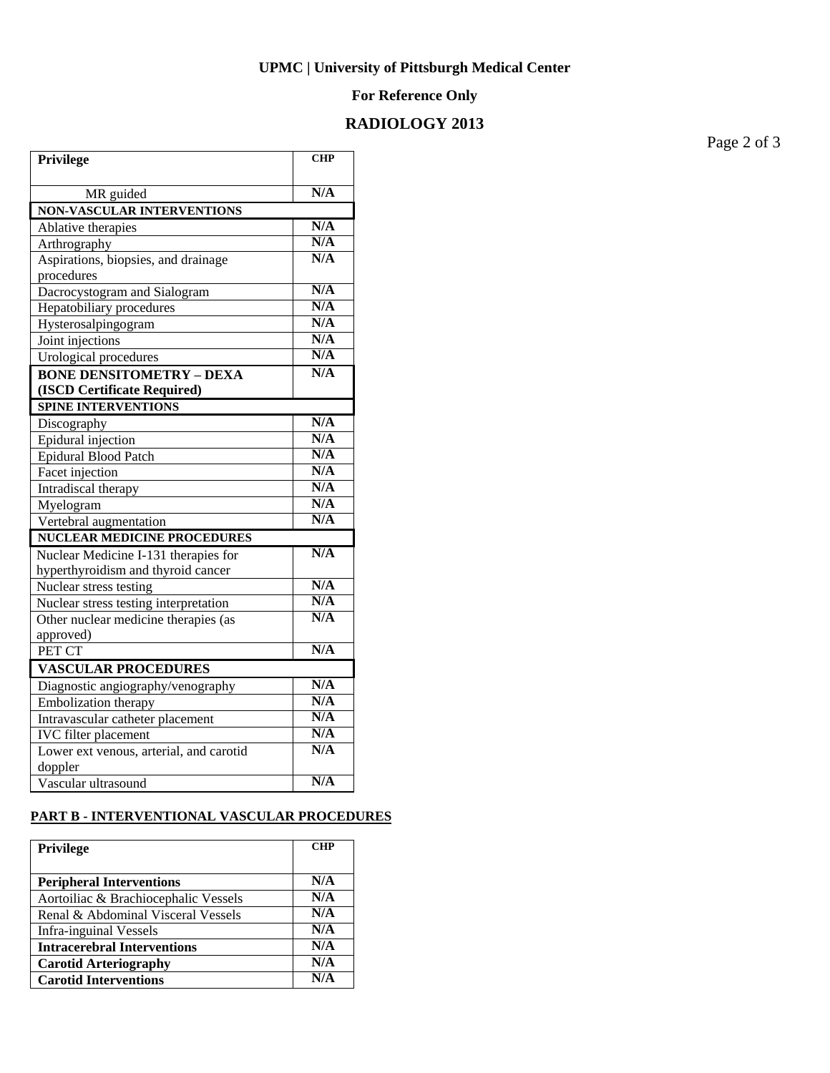### **UPMC | University of Pittsburgh Medical Center**

### **For Reference Only**

# **RADIOLOGY 2013**

**Privilege CHP** MR guided **N/A NON-VASCULAR INTERVENTIONS** Ablative therapies **N/A**<br>Arthrography **N/A** Arthrography Aspirations, biopsies, and drainage procedures **N/A** Dacrocystogram and Sialogram **N/A**<br>
Henatobiliary procedures **N/A** Hepatobiliary procedures **N/A**<br>
Hysterosalpingogram<br>
N/A Hysterosalpingogram **N/A**<br> **N/A**<br> **N/A** Joint injections **N/A**<br> **I** Irological procedures **N/A** Urological procedures **BONE DENSITOMETRY – DEXA (ISCD Certificate Required) N/A SPINE INTERVENTIONS** Discography **N/A**<br>Epidural injection **N/A** Epidural injection **N/A**<br>
Enidural Blood Patch **N/A** Epidural Blood Patch **N/A**<br>Facet injection **N/A** Facet injection **N/A**<br>Intradiscal therapy **N/A** Intradiscal therapy **N/A**<br>Myelogram **N/A** Myelogram **N/A**<br>Vertebral augmentation **N/A Vertebral augmentation NUCLEAR MEDICINE PROCEDURES** Nuclear Medicine I-131 therapies for hyperthyroidism and thyroid cancer **N/A** Nuclear stress testing<br>
Nuclear stress testing interpretation<br>
N/A Nuclear stress testing interpretation Other nuclear medicine therapies (as approved) **N/A** PET CT **N/A VASCULAR PROCEDURES** Diagnostic angiography/venography<br>Embolization therapy<br>N/A Embolization therapy **N/A**<br>Intravascular catheter placement **N/A** Intravascular catheter placement **N/A**<br> **IVC** filter placement **N/A IVC** filter placement Lower ext venous, arterial, and carotid doppler **N/A** Vascular ultrasound **N/A**

## **PART B - INTERVENTIONAL VASCULAR PROCEDURES**

| <b>Privilege</b>                     | <b>CHP</b> |
|--------------------------------------|------------|
| <b>Peripheral Interventions</b>      | N/A        |
| Aortoiliac & Brachiocephalic Vessels | N/A        |
| Renal & Abdominal Visceral Vessels   | N/A        |
| <b>Infra-inguinal Vessels</b>        | N/A        |
| <b>Intracerebral Interventions</b>   | N/A        |
| <b>Carotid Arteriography</b>         | N/A        |
| <b>Carotid Interventions</b>         | N/A        |

Page 2 of 3